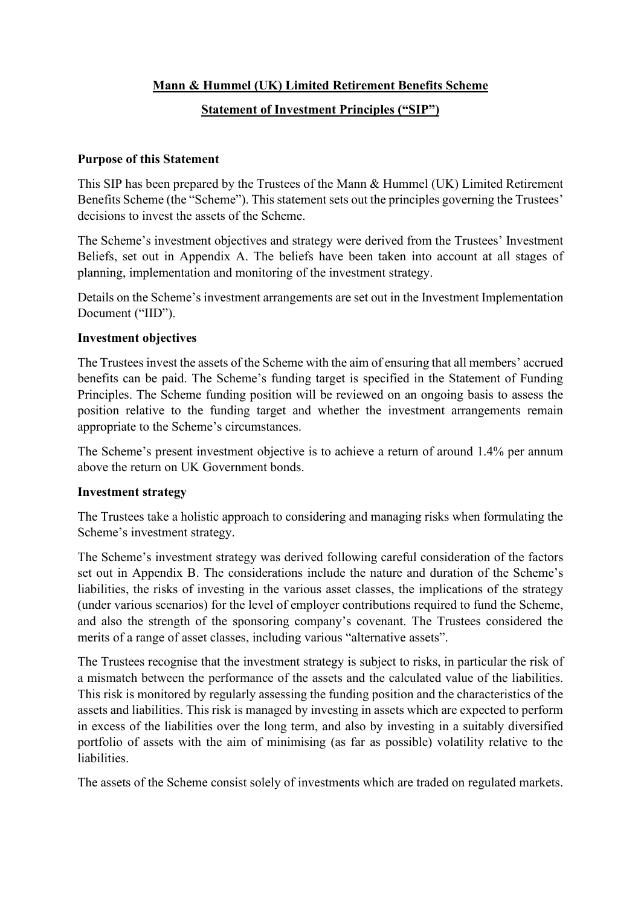## **Mann & Hummel (UK) Limited Retirement Benefits Scheme**

## **Statement of Investment Principles ("SIP")**

#### **Purpose of this Statement**

This SIP has been prepared by the Trustees of the Mann & Hummel (UK) Limited Retirement Benefits Scheme (the "Scheme"). This statement sets out the principles governing the Trustees' decisions to invest the assets of the Scheme.

The Scheme's investment objectives and strategy were derived from the Trustees' Investment Beliefs, set out in Appendix A. The beliefs have been taken into account at all stages of planning, implementation and monitoring of the investment strategy.

Details on the Scheme's investment arrangements are set out in the Investment Implementation Document ("IID").

#### **Investment objectives**

The Trustees invest the assets of the Scheme with the aim of ensuring that all members' accrued benefits can be paid. The Scheme's funding target is specified in the Statement of Funding Principles. The Scheme funding position will be reviewed on an ongoing basis to assess the position relative to the funding target and whether the investment arrangements remain appropriate to the Scheme's circumstances.

The Scheme's present investment objective is to achieve a return of around 1.4% per annum above the return on UK Government bonds.

#### **Investment strategy**

The Trustees take a holistic approach to considering and managing risks when formulating the Scheme's investment strategy.

The Scheme's investment strategy was derived following careful consideration of the factors set out in Appendix B. The considerations include the nature and duration of the Scheme's liabilities, the risks of investing in the various asset classes, the implications of the strategy (under various scenarios) for the level of employer contributions required to fund the Scheme, and also the strength of the sponsoring company's covenant. The Trustees considered the merits of a range of asset classes, including various "alternative assets".

The Trustees recognise that the investment strategy is subject to risks, in particular the risk of a mismatch between the performance of the assets and the calculated value of the liabilities. This risk is monitored by regularly assessing the funding position and the characteristics of the assets and liabilities. This risk is managed by investing in assets which are expected to perform in excess of the liabilities over the long term, and also by investing in a suitably diversified portfolio of assets with the aim of minimising (as far as possible) volatility relative to the liabilities.

The assets of the Scheme consist solely of investments which are traded on regulated markets.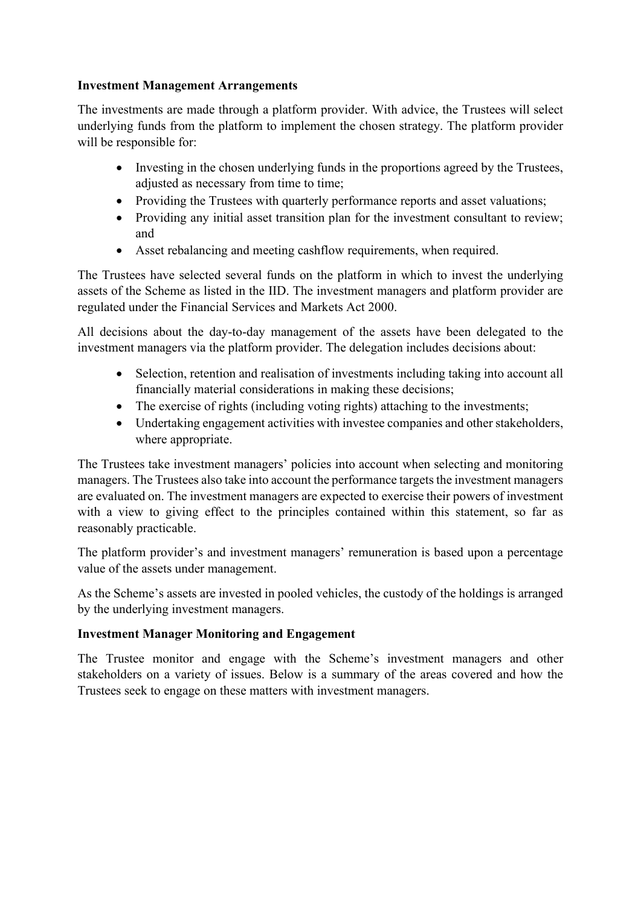## **Investment Management Arrangements**

The investments are made through a platform provider. With advice, the Trustees will select underlying funds from the platform to implement the chosen strategy. The platform provider will be responsible for:

- Investing in the chosen underlying funds in the proportions agreed by the Trustees, adjusted as necessary from time to time;
- Providing the Trustees with quarterly performance reports and asset valuations;
- Providing any initial asset transition plan for the investment consultant to review; and
- Asset rebalancing and meeting cashflow requirements, when required.

The Trustees have selected several funds on the platform in which to invest the underlying assets of the Scheme as listed in the IID. The investment managers and platform provider are regulated under the Financial Services and Markets Act 2000.

All decisions about the day-to-day management of the assets have been delegated to the investment managers via the platform provider. The delegation includes decisions about:

- Selection, retention and realisation of investments including taking into account all financially material considerations in making these decisions;
- The exercise of rights (including voting rights) attaching to the investments;
- Undertaking engagement activities with investee companies and other stakeholders, where appropriate.

The Trustees take investment managers' policies into account when selecting and monitoring managers. The Trustees also take into account the performance targets the investment managers are evaluated on. The investment managers are expected to exercise their powers of investment with a view to giving effect to the principles contained within this statement, so far as reasonably practicable.

The platform provider's and investment managers' remuneration is based upon a percentage value of the assets under management.

As the Scheme's assets are invested in pooled vehicles, the custody of the holdings is arranged by the underlying investment managers.

## **Investment Manager Monitoring and Engagement**

The Trustee monitor and engage with the Scheme's investment managers and other stakeholders on a variety of issues. Below is a summary of the areas covered and how the Trustees seek to engage on these matters with investment managers.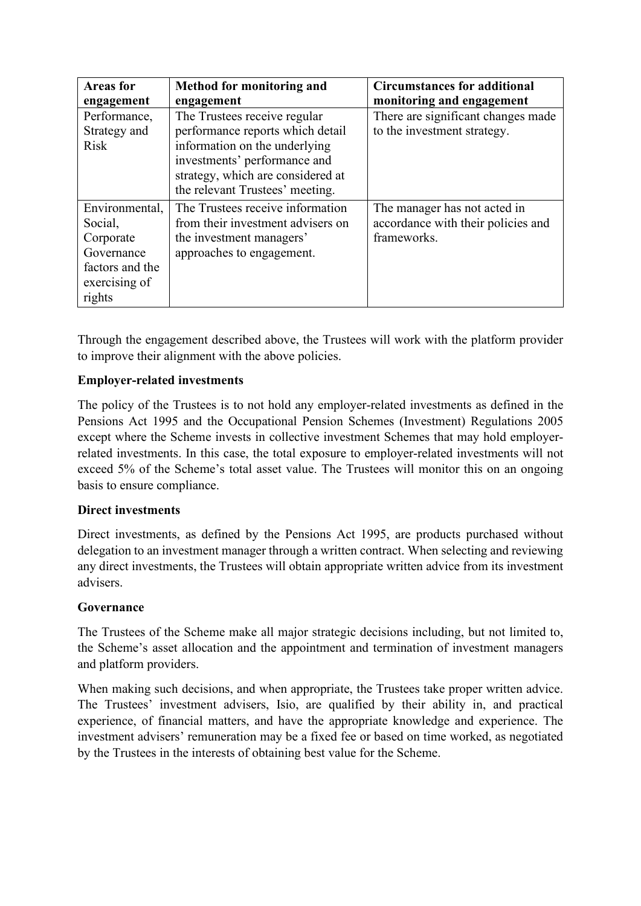| <b>Areas for</b> | <b>Method for monitoring and</b>  | <b>Circumstances for additional</b> |
|------------------|-----------------------------------|-------------------------------------|
| engagement       | engagement                        | monitoring and engagement           |
| Performance,     | The Trustees receive regular      | There are significant changes made  |
| Strategy and     | performance reports which detail  | to the investment strategy.         |
| <b>Risk</b>      | information on the underlying     |                                     |
|                  | investments' performance and      |                                     |
|                  | strategy, which are considered at |                                     |
|                  | the relevant Trustees' meeting.   |                                     |
| Environmental,   | The Trustees receive information  | The manager has not acted in        |
| Social,          | from their investment advisers on | accordance with their policies and  |
| Corporate        | the investment managers'          | frameworks.                         |
| Governance       | approaches to engagement.         |                                     |
| factors and the  |                                   |                                     |
| exercising of    |                                   |                                     |
| rights           |                                   |                                     |

Through the engagement described above, the Trustees will work with the platform provider to improve their alignment with the above policies.

## **Employer-related investments**

The policy of the Trustees is to not hold any employer-related investments as defined in the Pensions Act 1995 and the Occupational Pension Schemes (Investment) Regulations 2005 except where the Scheme invests in collective investment Schemes that may hold employerrelated investments. In this case, the total exposure to employer-related investments will not exceed 5% of the Scheme's total asset value. The Trustees will monitor this on an ongoing basis to ensure compliance.

## **Direct investments**

Direct investments, as defined by the Pensions Act 1995, are products purchased without delegation to an investment manager through a written contract. When selecting and reviewing any direct investments, the Trustees will obtain appropriate written advice from its investment advisers.

## **Governance**

The Trustees of the Scheme make all major strategic decisions including, but not limited to, the Scheme's asset allocation and the appointment and termination of investment managers and platform providers.

When making such decisions, and when appropriate, the Trustees take proper written advice. The Trustees' investment advisers, Isio, are qualified by their ability in, and practical experience, of financial matters, and have the appropriate knowledge and experience. The investment advisers' remuneration may be a fixed fee or based on time worked, as negotiated by the Trustees in the interests of obtaining best value for the Scheme.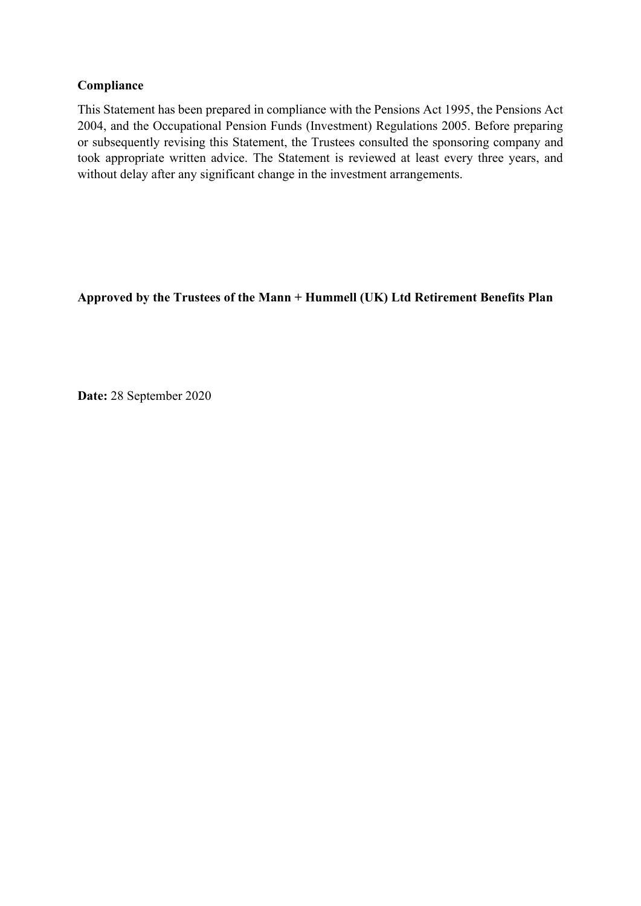## **Compliance**

This Statement has been prepared in compliance with the Pensions Act 1995, the Pensions Act 2004, and the Occupational Pension Funds (Investment) Regulations 2005. Before preparing or subsequently revising this Statement, the Trustees consulted the sponsoring company and took appropriate written advice. The Statement is reviewed at least every three years, and without delay after any significant change in the investment arrangements.

**Approved by the Trustees of the Mann + Hummell (UK) Ltd Retirement Benefits Plan**

**Date:** 28 September 2020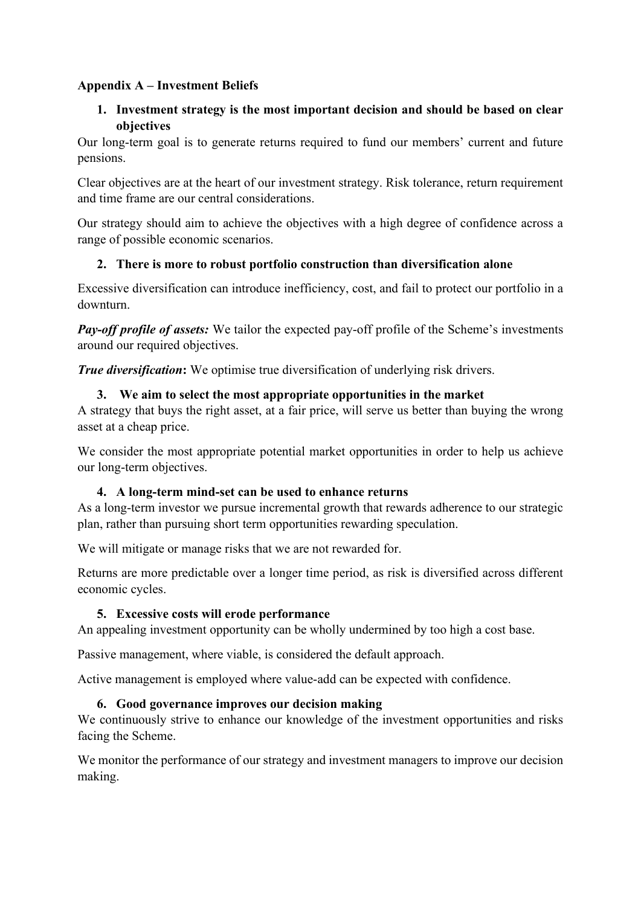## **Appendix A – Investment Beliefs**

## **1. Investment strategy is the most important decision and should be based on clear objectives**

Our long-term goal is to generate returns required to fund our members' current and future pensions.

Clear objectives are at the heart of our investment strategy. Risk tolerance, return requirement and time frame are our central considerations.

Our strategy should aim to achieve the objectives with a high degree of confidence across a range of possible economic scenarios.

## **2. There is more to robust portfolio construction than diversification alone**

Excessive diversification can introduce inefficiency, cost, and fail to protect our portfolio in a downturn.

*Pay-off profile of assets:* We tailor the expected pay-off profile of the Scheme's investments around our required objectives.

*True diversification***:** We optimise true diversification of underlying risk drivers.

## **3. We aim to select the most appropriate opportunities in the market**

A strategy that buys the right asset, at a fair price, will serve us better than buying the wrong asset at a cheap price.

We consider the most appropriate potential market opportunities in order to help us achieve our long-term objectives.

## **4. A long-term mind-set can be used to enhance returns**

As a long-term investor we pursue incremental growth that rewards adherence to our strategic plan, rather than pursuing short term opportunities rewarding speculation.

We will mitigate or manage risks that we are not rewarded for.

Returns are more predictable over a longer time period, as risk is diversified across different economic cycles.

## **5. Excessive costs will erode performance**

An appealing investment opportunity can be wholly undermined by too high a cost base.

Passive management, where viable, is considered the default approach.

Active management is employed where value-add can be expected with confidence.

## **6. Good governance improves our decision making**

We continuously strive to enhance our knowledge of the investment opportunities and risks facing the Scheme.

We monitor the performance of our strategy and investment managers to improve our decision making.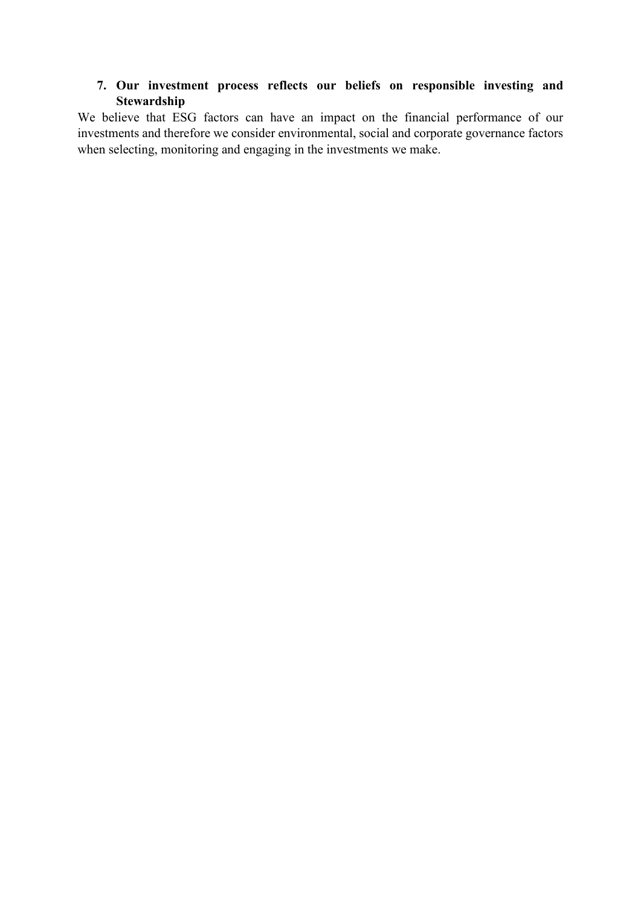## **7. Our investment process reflects our beliefs on responsible investing and Stewardship**

We believe that ESG factors can have an impact on the financial performance of our investments and therefore we consider environmental, social and corporate governance factors when selecting, monitoring and engaging in the investments we make.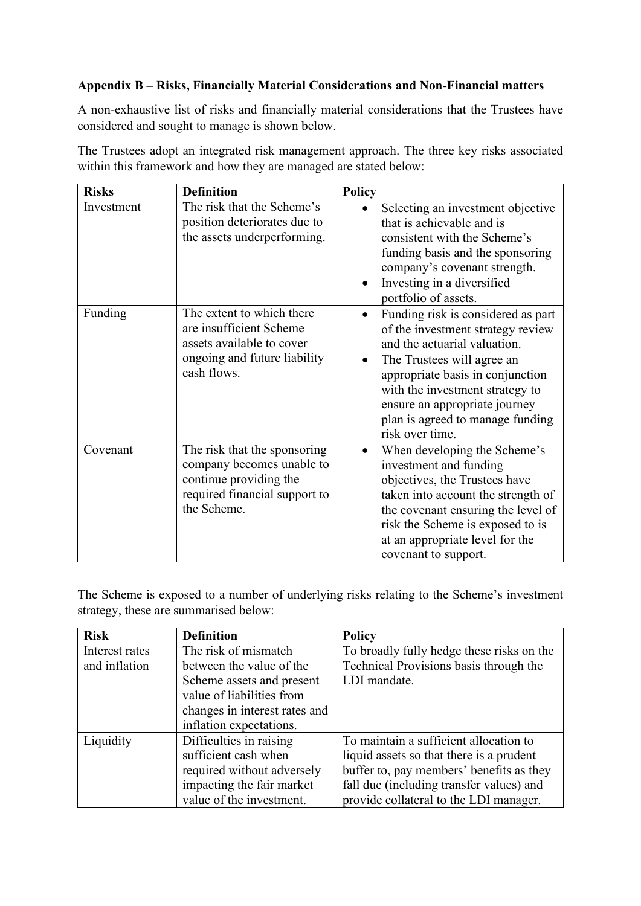## **Appendix B – Risks, Financially Material Considerations and Non-Financial matters**

A non-exhaustive list of risks and financially material considerations that the Trustees have considered and sought to manage is shown below.

The Trustees adopt an integrated risk management approach. The three key risks associated within this framework and how they are managed are stated below:

| <b>Risks</b> | <b>Definition</b>                                                                                                                   | <b>Policy</b>                                                                                                                                                                                                                                                                                        |
|--------------|-------------------------------------------------------------------------------------------------------------------------------------|------------------------------------------------------------------------------------------------------------------------------------------------------------------------------------------------------------------------------------------------------------------------------------------------------|
| Investment   | The risk that the Scheme's<br>position deteriorates due to<br>the assets underperforming.                                           | Selecting an investment objective<br>that is achievable and is<br>consistent with the Scheme's<br>funding basis and the sponsoring<br>company's covenant strength.<br>Investing in a diversified<br>portfolio of assets.                                                                             |
| Funding      | The extent to which there<br>are insufficient Scheme<br>assets available to cover<br>ongoing and future liability<br>cash flows.    | Funding risk is considered as part<br>of the investment strategy review<br>and the actuarial valuation.<br>The Trustees will agree an<br>appropriate basis in conjunction<br>with the investment strategy to<br>ensure an appropriate journey<br>plan is agreed to manage funding<br>risk over time. |
| Covenant     | The risk that the sponsoring<br>company becomes unable to<br>continue providing the<br>required financial support to<br>the Scheme. | When developing the Scheme's<br>investment and funding<br>objectives, the Trustees have<br>taken into account the strength of<br>the covenant ensuring the level of<br>risk the Scheme is exposed to is<br>at an appropriate level for the<br>covenant to support.                                   |

The Scheme is exposed to a number of underlying risks relating to the Scheme's investment strategy, these are summarised below:

| <b>Risk</b>    | <b>Definition</b>             | <b>Policy</b>                             |
|----------------|-------------------------------|-------------------------------------------|
| Interest rates | The risk of mismatch          | To broadly fully hedge these risks on the |
| and inflation  | between the value of the      | Technical Provisions basis through the    |
|                | Scheme assets and present     | LDI mandate.                              |
|                | value of liabilities from     |                                           |
|                | changes in interest rates and |                                           |
|                | inflation expectations.       |                                           |
| Liquidity      | Difficulties in raising       | To maintain a sufficient allocation to    |
|                | sufficient cash when          | liquid assets so that there is a prudent  |
|                | required without adversely    | buffer to, pay members' benefits as they  |
|                | impacting the fair market     | fall due (including transfer values) and  |
|                | value of the investment.      | provide collateral to the LDI manager.    |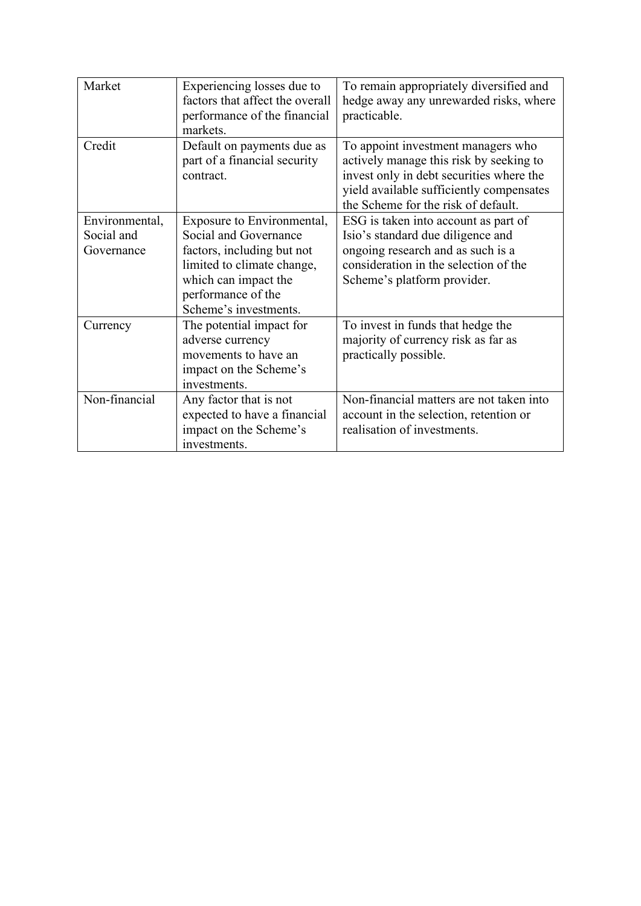| Market         | Experiencing losses due to<br>factors that affect the overall           | To remain appropriately diversified and<br>hedge away any unrewarded risks, where                                                                                                                            |
|----------------|-------------------------------------------------------------------------|--------------------------------------------------------------------------------------------------------------------------------------------------------------------------------------------------------------|
|                | performance of the financial<br>markets.                                | practicable.                                                                                                                                                                                                 |
| Credit         | Default on payments due as<br>part of a financial security<br>contract. | To appoint investment managers who<br>actively manage this risk by seeking to<br>invest only in debt securities where the<br>yield available sufficiently compensates<br>the Scheme for the risk of default. |
| Environmental, | Exposure to Environmental,                                              | ESG is taken into account as part of                                                                                                                                                                         |
| Social and     | Social and Governance                                                   | Isio's standard due diligence and                                                                                                                                                                            |
| Governance     | factors, including but not                                              | ongoing research and as such is a                                                                                                                                                                            |
|                | limited to climate change,                                              | consideration in the selection of the                                                                                                                                                                        |
|                | which can impact the                                                    | Scheme's platform provider.                                                                                                                                                                                  |
|                | performance of the                                                      |                                                                                                                                                                                                              |
|                | Scheme's investments.                                                   |                                                                                                                                                                                                              |
| Currency       | The potential impact for                                                | To invest in funds that hedge the                                                                                                                                                                            |
|                | adverse currency                                                        | majority of currency risk as far as                                                                                                                                                                          |
|                | movements to have an                                                    | practically possible.                                                                                                                                                                                        |
|                | impact on the Scheme's                                                  |                                                                                                                                                                                                              |
|                | investments.                                                            |                                                                                                                                                                                                              |
| Non-financial  | Any factor that is not                                                  | Non-financial matters are not taken into                                                                                                                                                                     |
|                | expected to have a financial                                            | account in the selection, retention or                                                                                                                                                                       |
|                | impact on the Scheme's                                                  | realisation of investments.                                                                                                                                                                                  |
|                | investments.                                                            |                                                                                                                                                                                                              |